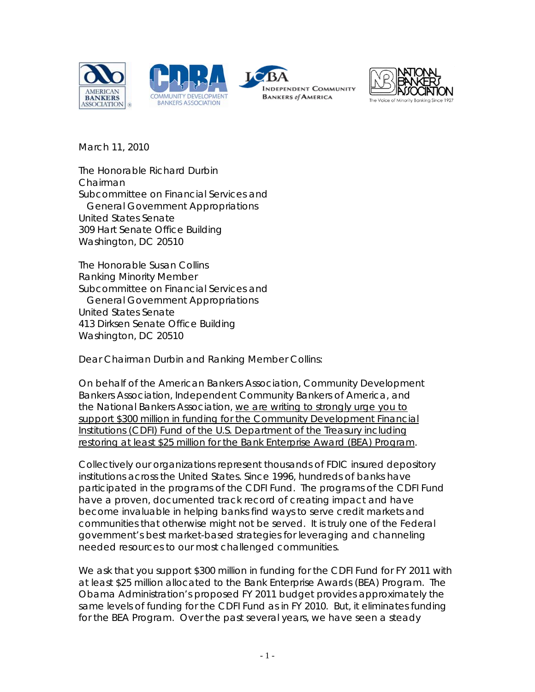





March 11, 2010

The Honorable Richard Durbin Chairman Subcommittee on Financial Services and General Government Appropriations United States Senate 309 Hart Senate Office Building Washington, DC 20510

The Honorable Susan Collins Ranking Minority Member Subcommittee on Financial Services and General Government Appropriations United States Senate 413 Dirksen Senate Office Building Washington, DC 20510

Dear Chairman Durbin and Ranking Member Collins:

On behalf of the American Bankers Association, Community Development Bankers Association, Independent Community Bankers of America, and the National Bankers Association, we are writing to strongly urge you to support \$300 million in funding for the Community Development Financial Institutions (CDFI) Fund of the U.S. Department of the Treasury including restoring at least \$25 million for the Bank Enterprise Award (BEA) Program.

Collectively our organizations represent thousands of FDIC insured depository institutions across the United States. Since 1996, hundreds of banks have participated in the programs of the CDFI Fund. The programs of the CDFI Fund have a proven, documented track record of creating impact and have become invaluable in helping banks find ways to serve credit markets and communities that otherwise might not be served. It is truly one of the Federal government's best market-based strategies for leveraging and channeling needed resources to our most challenged communities.

We ask that you support \$300 million in funding for the CDFI Fund for FY 2011 with at least \$25 million allocated to the Bank Enterprise Awards (BEA) Program. The Obama Administration's proposed FY 2011 budget provides approximately the same levels of funding for the CDFI Fund as in FY 2010. But, it eliminates funding for the BEA Program. Over the past several years, we have seen a steady